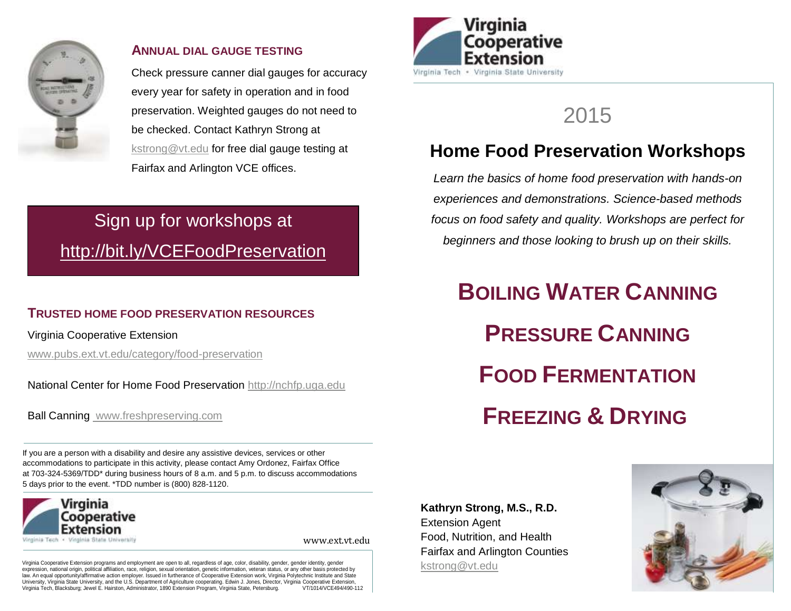

#### **ANNUAL DIAL GAUGE TESTING**

Check pressure canner dial gauges for accuracy every year for safety in operation and in food preservation. Weighted gauges do not need to be checked. Contact Kathryn Strong at [kstrong@vt.edu](mailto:kstrong@vt.edu) for free dial gauge testing at Fairfax and Arlington VCE offices.

# Sign up for workshops at <http://bit.ly/VCEFoodPreservation>

# **TRUSTED HOME FOOD PRESERVATION RESOURCES**

Virginia Cooperative Extension

[www.pubs.ext.vt.edu/category/food-preservation](http://www.pubs.ext.vt.edu/category/food-preservation)

National Center for Home Food Preservation [http://nchfp.uga.edu](http://nchfp.uga.edu/)

Ball Canning www.freshpreserving.com

If you are a person with a disability and desire any assistive devices, services or other accommodations to participate in this activity, please contact Amy Ordonez, Fairfax Office at [703-324-5369/T](tel:703-228-6400)DD\* during business hours of 8 a.m. and 5 p.m. to discuss accommodations 5 days prior to the event. \*TDD number is [\(800\) 828-1120.](tel:%28800%29%20828-1120)



www.ext.vt.edu

Virginia Cooperative Extension programs and employment are open to all, regardless of age, color, disability, gender, gender identity, gender<br>expression, national origin, political affiliation, race, religion, sexual orien law. An equal opportunity/affirmative action employer. Issued in furtherance of Cooperative Extension work, Virginia Polytechnic Institute and State University, Virginia State University, and the U.S. Department of Agriculture cooperating. Edwin J. Jones, Director, Virginia Cooperative Extension,<br>Virginia Tech. Blacksburg: Jewel E. Hairston. Administrator. 1890 Extensi Virginia Tech, Blacksburg; Jewel E. Hairston, Administrator, 1890 Extension Program, Virginia State, Petersburg.



# 2015

# **Home Food Preservation Workshops**

*Learn the basics of home food preservation with hands-on experiences and demonstrations. Science-based methods focus on food safety and quality. Workshops are perfect for beginners and those looking to brush up on their skills.* 

**BOILING WATER CANNING PRESSURE CANNING FOOD FERMENTATION FREEZING & DRYING** 

**Kathryn Strong, M.S., R.D.** Extension Agent Food, Nutrition, and Health Fairfax and Arlington Counties [kstrong@vt.edu](mailto:kstrong@vt.edu)